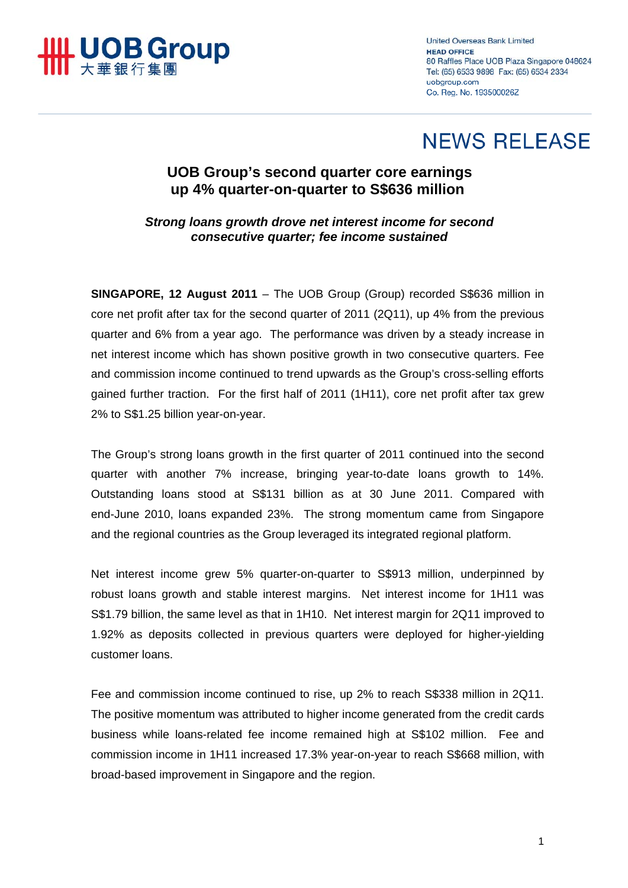

**United Overseas Bank Limited HEAD OFFICE** 80 Raffles Place UOB Plaza Singapore 048624 Tel: (65) 6533 9898 Fax: (65) 6534 2334 uobaroup.com Co. Reg. No. 193500026Z

## **NEWS RELEASE**

## **UOB Group's second quarter core earnings up 4% quarter-on-quarter to S\$636 million**

*Strong loans growth drove net interest income for second consecutive quarter; fee income sustained* 

**SINGAPORE, 12 August 2011** – The UOB Group (Group) recorded S\$636 million in core net profit after tax for the second quarter of 2011 (2Q11), up 4% from the previous quarter and 6% from a year ago. The performance was driven by a steady increase in net interest income which has shown positive growth in two consecutive quarters. Fee and commission income continued to trend upwards as the Group's cross-selling efforts gained further traction. For the first half of 2011 (1H11), core net profit after tax grew 2% to S\$1.25 billion year-on-year.

The Group's strong loans growth in the first quarter of 2011 continued into the second quarter with another 7% increase, bringing year-to-date loans growth to 14%. Outstanding loans stood at S\$131 billion as at 30 June 2011. Compared with end-June 2010, loans expanded 23%. The strong momentum came from Singapore and the regional countries as the Group leveraged its integrated regional platform.

Net interest income grew 5% quarter-on-quarter to S\$913 million, underpinned by robust loans growth and stable interest margins. Net interest income for 1H11 was S\$1.79 billion, the same level as that in 1H10. Net interest margin for 2Q11 improved to 1.92% as deposits collected in previous quarters were deployed for higher-yielding customer loans.

Fee and commission income continued to rise, up 2% to reach S\$338 million in 2Q11. The positive momentum was attributed to higher income generated from the credit cards business while loans-related fee income remained high at S\$102 million. Fee and commission income in 1H11 increased 17.3% year-on-year to reach S\$668 million, with broad-based improvement in Singapore and the region.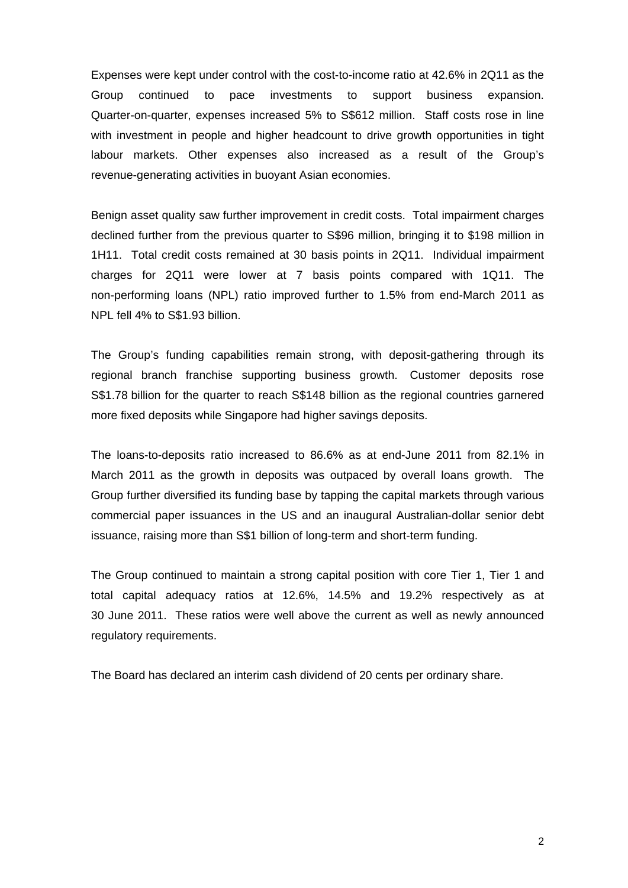Expenses were kept under control with the cost-to-income ratio at 42.6% in 2Q11 as the Group continued to pace investments to support business expansion. Quarter-on-quarter, expenses increased 5% to S\$612 million. Staff costs rose in line with investment in people and higher headcount to drive growth opportunities in tight labour markets. Other expenses also increased as a result of the Group's revenue-generating activities in buoyant Asian economies.

Benign asset quality saw further improvement in credit costs. Total impairment charges declined further from the previous quarter to S\$96 million, bringing it to \$198 million in 1H11. Total credit costs remained at 30 basis points in 2Q11. Individual impairment charges for 2Q11 were lower at 7 basis points compared with 1Q11. The non-performing loans (NPL) ratio improved further to 1.5% from end-March 2011 as NPL fell 4% to S\$1.93 billion.

The Group's funding capabilities remain strong, with deposit-gathering through its regional branch franchise supporting business growth. Customer deposits rose S\$1.78 billion for the quarter to reach S\$148 billion as the regional countries garnered more fixed deposits while Singapore had higher savings deposits.

The loans-to-deposits ratio increased to 86.6% as at end-June 2011 from 82.1% in March 2011 as the growth in deposits was outpaced by overall loans growth. The Group further diversified its funding base by tapping the capital markets through various commercial paper issuances in the US and an inaugural Australian-dollar senior debt issuance, raising more than S\$1 billion of long-term and short-term funding.

The Group continued to maintain a strong capital position with core Tier 1, Tier 1 and total capital adequacy ratios at 12.6%, 14.5% and 19.2% respectively as at 30 June 2011. These ratios were well above the current as well as newly announced regulatory requirements.

The Board has declared an interim cash dividend of 20 cents per ordinary share.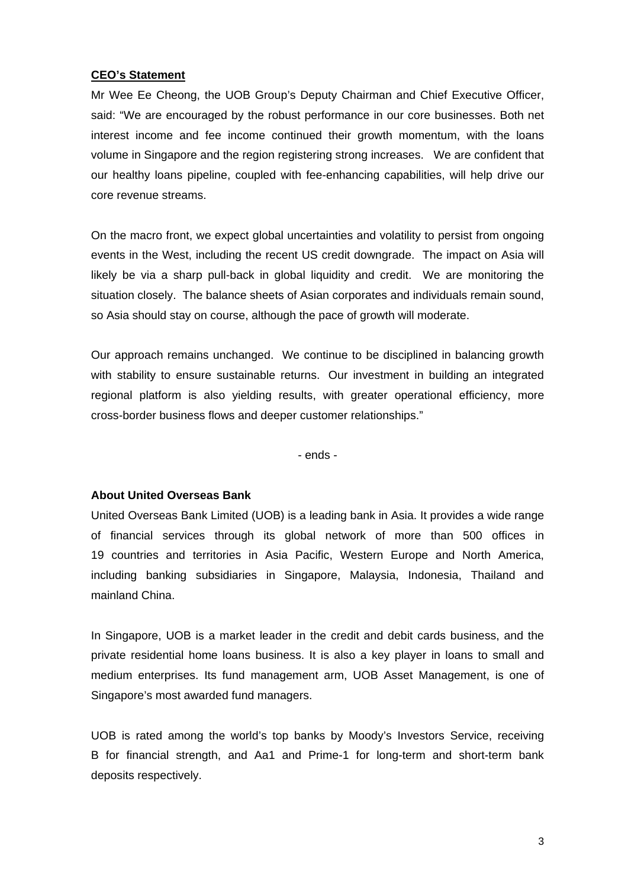## **CEO's Statement**

Mr Wee Ee Cheong, the UOB Group's Deputy Chairman and Chief Executive Officer, said: "We are encouraged by the robust performance in our core businesses. Both net interest income and fee income continued their growth momentum, with the loans volume in Singapore and the region registering strong increases. We are confident that our healthy loans pipeline, coupled with fee-enhancing capabilities, will help drive our core revenue streams.

On the macro front, we expect global uncertainties and volatility to persist from ongoing events in the West, including the recent US credit downgrade. The impact on Asia will likely be via a sharp pull-back in global liquidity and credit. We are monitoring the situation closely. The balance sheets of Asian corporates and individuals remain sound, so Asia should stay on course, although the pace of growth will moderate.

Our approach remains unchanged. We continue to be disciplined in balancing growth with stability to ensure sustainable returns. Our investment in building an integrated regional platform is also yielding results, with greater operational efficiency, more cross-border business flows and deeper customer relationships."

- ends -

## **About United Overseas Bank**

United Overseas Bank Limited (UOB) is a leading bank in Asia. It provides a wide range of financial services through its global network of more than 500 offices in 19 countries and territories in Asia Pacific, Western Europe and North America, including banking subsidiaries in Singapore, Malaysia, Indonesia, Thailand and mainland China.

In Singapore, UOB is a market leader in the credit and debit cards business, and the private residential home loans business. It is also a key player in loans to small and medium enterprises. Its fund management arm, UOB Asset Management, is one of Singapore's most awarded fund managers.

UOB is rated among the world's top banks by Moody's Investors Service, receiving B for financial strength, and Aa1 and Prime-1 for long-term and short-term bank deposits respectively.